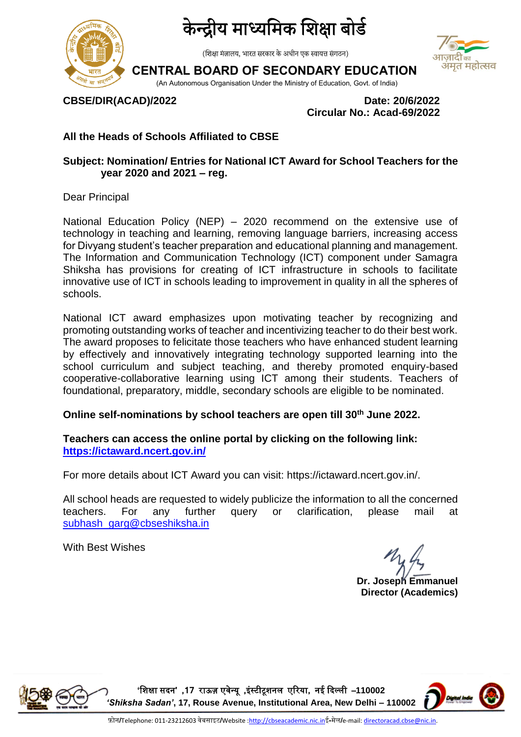

केन्द्रीय माध्यमिक शिक्षा बोर्ड

(शिक्षा मंत्रालय, भारत सरकार के अधीन एक स्वायत्त संगठन)



**CENTRAL BOARD OF SECONDARY EDUCATION**

(An Autonomous Organisation Under the Ministry of Education, Govt. of India)

**CBSE/DIR(ACAD)/2022 Date: 20/6/2022 Circular No.: Acad-69/2022** 

### **All the Heads of Schools Affiliated to CBSE**

### **Subject: Nomination/ Entries for National ICT Award for School Teachers for the year 2020 and 2021 – reg.**

Dear Principal

National Education Policy (NEP) – 2020 recommend on the extensive use of technology in teaching and learning, removing language barriers, increasing access for Divyang student's teacher preparation and educational planning and management. The Information and Communication Technology (ICT) component under Samagra Shiksha has provisions for creating of ICT infrastructure in schools to facilitate innovative use of ICT in schools leading to improvement in quality in all the spheres of schools.

National ICT award emphasizes upon motivating teacher by recognizing and promoting outstanding works of teacher and incentivizing teacher to do their best work. The award proposes to felicitate those teachers who have enhanced student learning by effectively and innovatively integrating technology supported learning into the school curriculum and subject teaching, and thereby promoted enquiry-based cooperative-collaborative learning using ICT among their students. Teachers of foundational, preparatory, middle, secondary schools are eligible to be nominated.

### **Online self-nominations by school teachers are open till 30th June 2022.**

**Teachers can access the online portal by clicking on the following link: <https://ictaward.ncert.gov.in/>**

For more details about ICT Award you can visit: https://ictaward.ncert.gov.in/.

All school heads are requested to widely publicize the information to all the concerned teachers. For any further query or clarification, please mail at [subhash\\_garg@cbseshiksha.in](mailto:subhash_garg@cbseshiksha.in)

With Best Wishes

**Dr. Joseph Emmanuel Director (Academics)**



**'**शिक्षा सदन**' ,17** राऊज़ एवेन्यू **,**इंस्टीटूिनल एररया**,** नई ददल्ली –**110002**  *'Shiksha Sadan'***, 17, Rouse Avenue, Institutional Area, New Delhi – 110002**